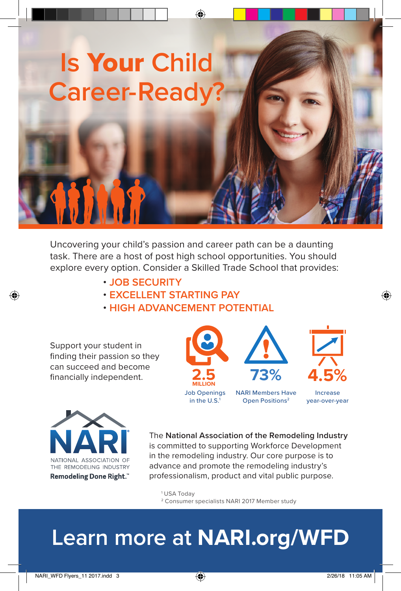

Uncovering your child's passion and career path can be a daunting task. There are a host of post high school opportunities. You should explore every option. Consider a Skilled Trade School that provides:

- **JOB SECURITY**
- **EXCELLENT STARTING PAY**
- **HIGH ADVANCEMENT POTENTIAL**

Support your student in finding their passion so they can succeed and become financially independent.

⊕





The **National Association of the Remodeling Industry** is committed to supporting Workforce Development in the remodeling industry. Our core purpose is to advance and promote the remodeling industry's professionalism, product and vital public purpose.

1 USA Today

2 Consumer specialists NARI 2017 Member study

## **Learn more at NARI.org/WFD**

⊕